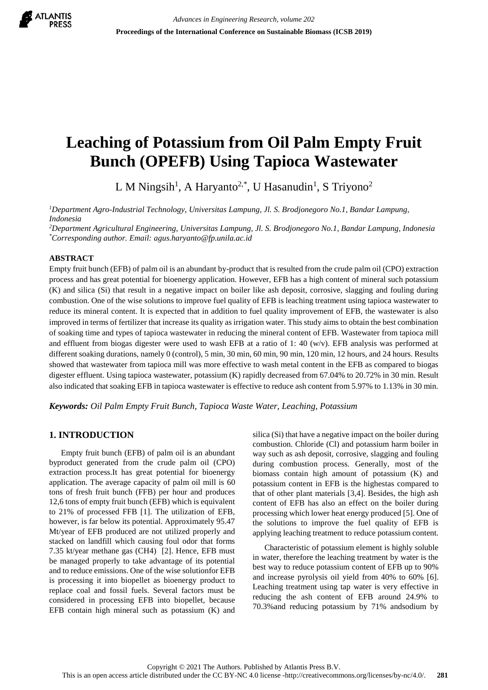

# **Leaching of Potassium from Oil Palm Empty Fruit Bunch (OPEFB) Using Tapioca Wastewater**

L M Ningsih<sup>1</sup>, A Haryanto<sup>2,\*</sup>, U Hasanudin<sup>1</sup>, S Triyono<sup>2</sup>

*<sup>1</sup>Department Agro-Industrial Technology, Universitas Lampung, Jl. S. Brodjonegoro No.1, Bandar Lampung, Indonesia*

*<sup>2</sup>Department Agricultural Engineering, Universitas Lampung, Jl. S. Brodjonegoro No.1, Bandar Lampung, Indonesia \*Corresponding author. Email: agus.haryanto@fp.unila.ac.id*

#### **ABSTRACT**

Empty fruit bunch (EFB) of palm oil is an abundant by-product that is resulted from the crude palm oil (CPO) extraction process and has great potential for bioenergy application. However, EFB has a high content of mineral such potassium (K) and silica (Si) that result in a negative impact on boiler like ash deposit, corrosive, slagging and fouling during combustion. One of the wise solutions to improve fuel quality of EFB is leaching treatment using tapioca wastewater to reduce its mineral content. It is expected that in addition to fuel quality improvement of EFB, the wastewater is also improved in terms of fertilizer that increase its quality as irrigation water. This study aims to obtain the best combination of soaking time and types of tapioca wastewater in reducing the mineral content of EFB. Wastewater from tapioca mill and effluent from biogas digester were used to wash EFB at a ratio of 1: 40 (w/v). EFB analysis was performed at different soaking durations, namely 0 (control), 5 min, 30 min, 60 min, 90 min, 120 min, 12 hours, and 24 hours. Results showed that wastewater from tapioca mill was more effective to wash metal content in the EFB as compared to biogas digester effluent. Using tapioca wastewater, potassium (K) rapidly decreased from 67.04% to 20.72% in 30 min. Result also indicated that soaking EFB in tapioca wastewater is effective to reduce ash content from 5.97% to 1.13% in 30 min.

*Keywords: Oil Palm Empty Fruit Bunch, Tapioca Waste Water, Leaching, Potassium*

## **1. INTRODUCTION**

Empty fruit bunch (EFB) of palm oil is an abundant byproduct generated from the crude palm oil (CPO) extraction process.It has great potential for bioenergy application. The average capacity of palm oil mill is 60 tons of fresh fruit bunch (FFB) per hour and produces 12,6 tons of empty fruit bunch (EFB) which is equivalent to 21% of processed FFB [1]. The utilization of EFB, however, is far below its potential. Approximately 95.47 Mt/year of EFB produced are not utilized properly and stacked on landfill which causing foul odor that forms 7.35 kt/year methane gas (CH4) [2]. Hence, EFB must be managed properly to take advantage of its potential and to reduce emissions. One of the wise solutionfor EFB is processing it into biopellet as bioenergy product to replace coal and fossil fuels. Several factors must be considered in processing EFB into biopellet, because EFB contain high mineral such as potassium (K) and silica (Si) that have a negative impact on the boiler during combustion. Chloride (Cl) and potassium harm boiler in way such as ash deposit, corrosive, slagging and fouling during combustion process. Generally, most of the biomass contain high amount of potassium (K) and potassium content in EFB is the highestas compared to that of other plant materials [3,4]. Besides, the high ash content of EFB has also an effect on the boiler during processing which lower heat energy produced [5]. One of the solutions to improve the fuel quality of EFB is applying leaching treatment to reduce potassium content.

Characteristic of potassium element is highly soluble in water, therefore the leaching treatment by water is the best way to reduce potassium content of EFB up to 90% and increase pyrolysis oil yield from 40% to 60% [6]. Leaching treatment using tap water is very effective in reducing the ash content of EFB around 24.9% to 70.3%and reducing potassium by 71% andsodium by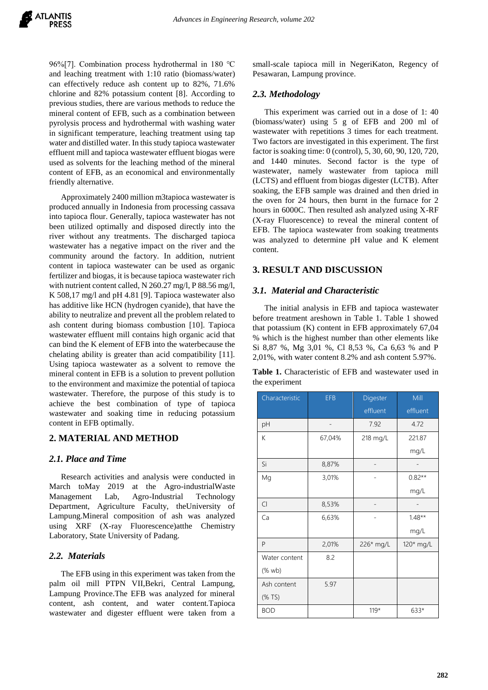96%[7]. Combination process hydrothermal in 180 ℃ and leaching treatment with 1:10 ratio (biomass/water) can effectively reduce ash content up to 82%, 71.6% chlorine and 82% potassium content [8]. According to previous studies, there are various methods to reduce the mineral content of EFB, such as a combination between pyrolysis process and hydrothermal with washing water in significant temperature, leaching treatment using tap water and distilled water. In this study tapioca wastewater effluent mill and tapioca wastewater effluent biogas were used as solvents for the leaching method of the mineral content of EFB, as an economical and environmentally friendly alternative.

Approximately 2400 million m3tapioca wastewater is produced annually in Indonesia from processing cassava into tapioca flour. Generally, tapioca wastewater has not been utilized optimally and disposed directly into the river without any treatments. The discharged tapioca wastewater has a negative impact on the river and the community around the factory. In addition, nutrient content in tapioca wastewater can be used as organic fertilizer and biogas, it is because tapioca wastewater rich with nutrient content called, N 260.27 mg/l, P 88.56 mg/l, K 508,17 mg/l and pH 4.81 [9]. Tapioca wastewater also has additive like HCN (hydrogen cyanide), that have the ability to neutralize and prevent all the problem related to ash content during biomass combustion [10]. Tapioca wastewater effluent mill contains high organic acid that can bind the K element of EFB into the waterbecause the chelating ability is greater than acid compatibility [11]. Using tapioca wastewater as a solvent to remove the mineral content in EFB is a solution to prevent pollution to the environment and maximize the potential of tapioca wastewater. Therefore, the purpose of this study is to achieve the best combination of type of tapioca wastewater and soaking time in reducing potassium content in EFB optimally.

# **2. MATERIAL AND METHOD**

# *2.1. Place and Time*

Research activities and analysis were conducted in March toMay 2019 at the Agro-industrialWaste Management Lab, Agro-Industrial Technology Department, Agriculture Faculty, theUniversity of Lampung.Mineral composition of ash was analyzed using XRF (X-ray Fluorescence)atthe Chemistry Laboratory, State University of Padang.

#### *2.2. Materials*

The EFB using in this experiment was taken from the palm oil mill PTPN VII,Bekri, Central Lampung, Lampung Province.The EFB was analyzed for mineral content, ash content, and water content.Tapioca wastewater and digester effluent were taken from a small-scale tapioca mill in NegeriKaton, Regency of Pesawaran, Lampung province.

#### *2.3. Methodology*

This experiment was carried out in a dose of 1: 40 (biomass/water) using 5 g of EFB and 200 ml of wastewater with repetitions 3 times for each treatment. Two factors are investigated in this experiment. The first factor is soaking time: 0 (control), 5, 30, 60, 90, 120, 720, and 1440 minutes. Second factor is the type of wastewater, namely wastewater from tapioca mill (LCTS) and effluent from biogas digester (LCTB). After soaking, the EFB sample was drained and then dried in the oven for 24 hours, then burnt in the furnace for 2 hours in 6000C. Then resulted ash analyzed using X-RF (X-ray Fluorescence) to reveal the mineral content of EFB. The tapioca wastewater from soaking treatments was analyzed to determine pH value and K element content.

# **3. RESULT AND DISCUSSION**

## *3.1. Material and Characteristic*

The initial analysis in EFB and tapioca wastewater before treatment areshown in Table 1. Table 1 showed that potassium (K) content in EFB approximately 67,04 % which is the highest number than other elements like Si 8,87 %, Mg 3,01 %, Cl 8,53 %, Ca 6,63 % and P 2,01%, with water content 8.2% and ash content 5.97%.

**Table 1.** Characteristic of EFB and wastewater used in the experiment

| Characteristic | <b>EFB</b> | Digester  | Mill      |
|----------------|------------|-----------|-----------|
|                |            | effluent  | effluent  |
| pH             |            | 7.92      | 4.72      |
| K              | 67,04%     | 218 mg/L  | 221.87    |
|                |            |           | mq/L      |
| Si             | 8,87%      |           |           |
| Mg             | 3,01%      |           | $0.82**$  |
|                |            |           | mg/L      |
| Cl             | 8,53%      |           |           |
| Ca             | 6,63%      |           | $1.48**$  |
|                |            |           | mg/L      |
| P              | 2,01%      | 226* mg/L | 120* mg/L |
| Water content  | 8.2        |           |           |
| (% wb)         |            |           |           |
| Ash content    | 5.97       |           |           |
| (% TS)         |            |           |           |
| <b>BOD</b>     |            | 119*      | 633*      |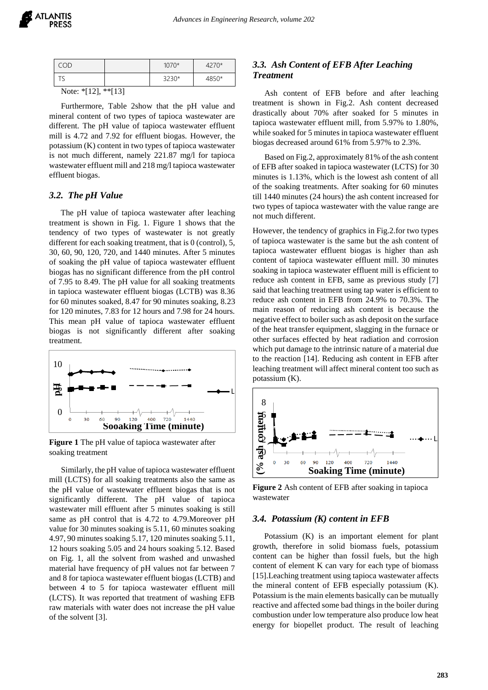| - -<br>.      |  |         |      |  |
|---------------|--|---------|------|--|
| ت             |  | 3230*   | 9EV  |  |
| $\cap \Gamma$ |  | $1070*$ | ን7በ* |  |

Note: \*[12], \*\*[13]

Furthermore, Table 2show that the pH value and mineral content of two types of tapioca wastewater are different. The pH value of tapioca wastewater effluent mill is 4.72 and 7.92 for effluent biogas. However, the potassium (K) content in two types of tapioca wastewater is not much different, namely 221.87 mg/l for tapioca wastewater effluent mill and 218 mg/l tapioca wastewater effluent biogas.

#### *3.2. The pH Value*

The pH value of tapioca wastewater after leaching treatment is shown in Fig. 1. Figure 1 shows that the tendency of two types of wastewater is not greatly different for each soaking treatment, that is 0 (control), 5, 30, 60, 90, 120, 720, and 1440 minutes. After 5 minutes of soaking the pH value of tapioca wastewater effluent biogas has no significant difference from the pH control of 7.95 to 8.49. The pH value for all soaking treatments in tapioca wastewater effluent biogas (LCTB) was 8.36 for 60 minutes soaked, 8.47 for 90 minutes soaking, 8.23 for 120 minutes, 7.83 for 12 hours and 7.98 for 24 hours. This mean pH value of tapioca wastewater effluent biogas is not significantly different after soaking treatment.



**Figure 1** The pH value of tapioca wastewater after soaking treatment

Similarly, the pH value of tapioca wastewater effluent mill (LCTS) for all soaking treatments also the same as the pH value of wastewater effluent biogas that is not significantly different. The pH value of tapioca wastewater mill effluent after 5 minutes soaking is still same as pH control that is 4.72 to 4.79.Moreover pH value for 30 minutes soaking is 5.11, 60 minutes soaking 4.97, 90 minutes soaking 5.17, 120 minutes soaking 5.11, 12 hours soaking 5.05 and 24 hours soaking 5.12. Based on Fig. 1, all the solvent from washed and unwashed material have frequency of pH values not far between 7 and 8 for tapioca wastewater effluent biogas (LCTB) and between 4 to 5 for tapioca wastewater effluent mill (LCTS). It was reported that treatment of washing EFB raw materials with water does not increase the pH value of the solvent [3].

## *3.3. Ash Content of EFB After Leaching Treatment*

Ash content of EFB before and after leaching treatment is shown in Fig.2. Ash content decreased drastically about 70% after soaked for 5 minutes in tapioca wastewater effluent mill, from 5.97% to 1.80%, while soaked for 5 minutes in tapioca wastewater effluent biogas decreased around 61% from 5.97% to 2.3%.

Based on Fig.2, approximately 81% of the ash content of EFB after soaked in tapioca wastewater (LCTS) for 30 minutes is 1.13%, which is the lowest ash content of all of the soaking treatments. After soaking for 60 minutes till 1440 minutes (24 hours) the ash content increased for two types of tapioca wastewater with the value range are not much different.

However, the tendency of graphics in Fig.2.for two types of tapioca wastewater is the same but the ash content of tapioca wastewater effluent biogas is higher than ash content of tapioca wastewater effluent mill. 30 minutes soaking in tapioca wastewater effluent mill is efficient to reduce ash content in EFB, same as previous study [7] said that leaching treatment using tap water is efficient to reduce ash content in EFB from 24.9% to 70.3%. The main reason of reducing ash content is because the negative effect to boiler such as ash deposit on the surface of the heat transfer equipment, slagging in the furnace or other surfaces effected by heat radiation and corrosion which put damage to the intrinsic nature of a material due to the reaction [14]. Reducing ash content in EFB after leaching treatment will affect mineral content too such as potassium (K).



**Figure 2** Ash content of EFB after soaking in tapioca wastewater

#### *3.4. Potassium (K) content in EFB*

Potassium (K) is an important element for plant growth, therefore in solid biomass fuels, potassium content can be higher than fossil fuels, but the high content of element K can vary for each type of biomass [15].Leaching treatment using tapioca wastewater affects the mineral content of EFB especially potassium (K). Potassium is the main elements basically can be mutually reactive and affected some bad things in the boiler during combustion under low temperature also produce low heat energy for biopellet product. The result of leaching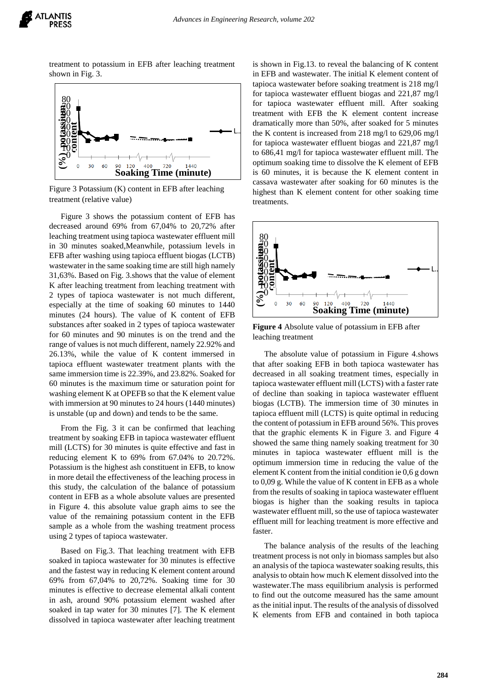

treatment to potassium in EFB after leaching treatment shown in Fig. 3.



Figure 3 Potassium (K) content in EFB after leaching treatment (relative value)

Figure 3 shows the potassium content of EFB has decreased around 69% from 67,04% to 20,72% after leaching treatment using tapioca wastewater effluent mill in 30 minutes soaked,Meanwhile, potassium levels in EFB after washing using tapioca effluent biogas (LCTB) wastewater in the same soaking time are still high namely 31,63%. Based on Fig. 3.shows that the value of element K after leaching treatment from leaching treatment with 2 types of tapioca wastewater is not much different, especially at the time of soaking 60 minutes to 1440 minutes (24 hours). The value of K content of EFB substances after soaked in 2 types of tapioca wastewater for 60 minutes and 90 minutes is on the trend and the range of values is not much different, namely 22.92% and 26.13%, while the value of K content immersed in tapioca effluent wastewater treatment plants with the same immersion time is 22.39%, and 23.82%. Soaked for 60 minutes is the maximum time or saturation point for washing element K at OPEFB so that the K element value with immersion at 90 minutes to 24 hours (1440 minutes) is unstable (up and down) and tends to be the same.

From the Fig. 3 it can be confirmed that leaching treatment by soaking EFB in tapioca wastewater effluent mill (LCTS) for 30 minutes is quite effective and fast in reducing element K to 69% from 67.04% to 20.72%. Potassium is the highest ash constituent in EFB, to know in more detail the effectiveness of the leaching process in this study, the calculation of the balance of potassium content in EFB as a whole absolute values are presented in Figure 4. this absolute value graph aims to see the value of the remaining potassium content in the EFB sample as a whole from the washing treatment process using 2 types of tapioca wastewater.

Based on Fig.3. That leaching treatment with EFB soaked in tapioca wastewater for 30 minutes is effective and the fastest way in reducing K element content around 69% from 67,04% to 20,72%. Soaking time for 30 minutes is effective to decrease elemental alkali content in ash, around 90% potassium element washed after soaked in tap water for 30 minutes [7]. The K element dissolved in tapioca wastewater after leaching treatment

is shown in Fig.13. to reveal the balancing of K content in EFB and wastewater. The initial K element content of tapioca wastewater before soaking treatment is 218 mg/l for tapioca wastewater effluent biogas and 221,87 mg/l for tapioca wastewater effluent mill. After soaking treatment with EFB the K element content increase dramatically more than 50%, after soaked for 5 minutes the K content is increased from 218 mg/l to 629,06 mg/l for tapioca wastewater effluent biogas and 221,87 mg/l to 686,41 mg/l for tapioca wastewater effluent mill. The optimum soaking time to dissolve the K element of EFB is 60 minutes, it is because the K element content in cassava wastewater after soaking for 60 minutes is the highest than K element content for other soaking time treatments.



**Figure 4** Absolute value of potassium in EFB after leaching treatment

The absolute value of potassium in Figure 4.shows that after soaking EFB in both tapioca wastewater has decreased in all soaking treatment times, especially in tapioca wastewater effluent mill (LCTS) with a faster rate of decline than soaking in tapioca wastewater effluent biogas (LCTB). The immersion time of 30 minutes in tapioca effluent mill (LCTS) is quite optimal in reducing the content of potassium in EFB around 56%. This proves that the graphic elements K in Figure 3. and Figure 4 showed the same thing namely soaking treatment for 30 minutes in tapioca wastewater effluent mill is the optimum immersion time in reducing the value of the element K content from the initial condition ie 0,6 g down to 0,09 g. While the value of K content in EFB as a whole from the results of soaking in tapioca wastewater effluent biogas is higher than the soaking results in tapioca wastewater effluent mill, so the use of tapioca wastewater effluent mill for leaching treatment is more effective and faster.

The balance analysis of the results of the leaching treatment process is not only in biomass samples but also an analysis of the tapioca wastewater soaking results, this analysis to obtain how much K element dissolved into the wastewater.The mass equilibrium analysis is performed to find out the outcome measured has the same amount as the initial input. The results of the analysis of dissolved K elements from EFB and contained in both tapioca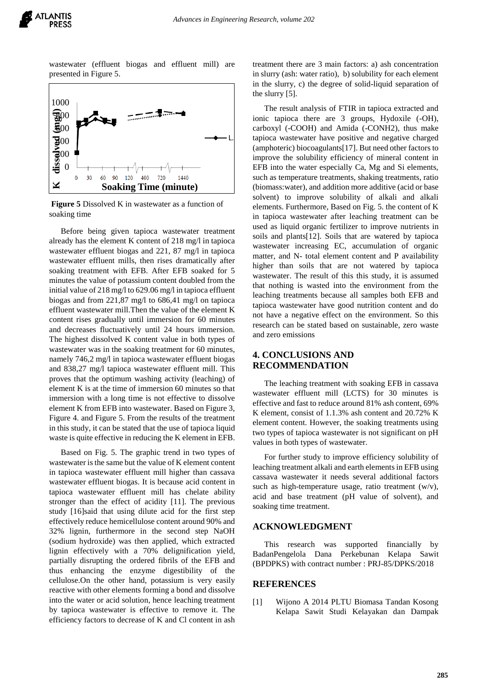

wastewater (effluent biogas and effluent mill) are presented in Figure 5.



**Figure 5** Dissolved K in wastewater as a function of soaking time

Before being given tapioca wastewater treatment already has the element K content of 218 mg/l in tapioca wastewater effluent biogas and 221, 87 mg/l in tapioca wastewater effluent mills, then rises dramatically after soaking treatment with EFB. After EFB soaked for 5 minutes the value of potassium content doubled from the initial value of 218 mg/l to 629.06 mg/l in tapioca effluent biogas and from 221,87 mg/l to 686,41 mg/l on tapioca effluent wastewater mill.Then the value of the element K content rises gradually until immersion for 60 minutes and decreases fluctuatively until 24 hours immersion. The highest dissolved K content value in both types of wastewater was in the soaking treatment for 60 minutes, namely 746,2 mg/l in tapioca wastewater effluent biogas and 838,27 mg/l tapioca wastewater effluent mill. This proves that the optimum washing activity (leaching) of element K is at the time of immersion 60 minutes so that immersion with a long time is not effective to dissolve element K from EFB into wastewater. Based on Figure 3, Figure 4. and Figure 5. From the results of the treatment in this study, it can be stated that the use of tapioca liquid waste is quite effective in reducing the K element in EFB.

Based on Fig. 5. The graphic trend in two types of wastewater is the same but the value of K element content in tapioca wastewater effluent mill higher than cassava wastewater effluent biogas. It is because acid content in tapioca wastewater effluent mill has chelate ability stronger than the effect of acidity [11]. The previous study [16]said that using dilute acid for the first step effectively reduce hemicellulose content around 90% and 32% lignin, furthermore in the second step NaOH (sodium hydroxide) was then applied, which extracted lignin effectively with a 70% delignification yield, partially disrupting the ordered fibrils of the EFB and thus enhancing the enzyme digestibility of the cellulose.On the other hand, potassium is very easily reactive with other elements forming a bond and dissolve into the water or acid solution, hence leaching treatment by tapioca wastewater is effective to remove it. The efficiency factors to decrease of K and Cl content in ash

treatment there are 3 main factors: a) ash concentration in slurry (ash: water ratio), b) solubility for each element in the slurry, c) the degree of solid-liquid separation of the slurry [5].

The result analysis of FTIR in tapioca extracted and ionic tapioca there are 3 groups, Hydoxile (-OH), carboxyl (-COOH) and Amida (-CONH2), thus make tapioca wastewater have positive and negative charged (amphoteric) biocoagulants[17]. But need other factors to improve the solubility efficiency of mineral content in EFB into the water especially Ca, Mg and Si elements, such as temperature treatments, shaking treatments, ratio (biomass:water), and addition more additive (acid or base solvent) to improve solubility of alkali and alkali elements. Furthermore, Based on Fig. 5. the content of K in tapioca wastewater after leaching treatment can be used as liquid organic fertilizer to improve nutrients in soils and plants[12]. Soils that are watered by tapioca wastewater increasing EC, accumulation of organic matter, and N- total element content and P availability higher than soils that are not watered by tapioca wastewater. The result of this this study, it is assumed that nothing is wasted into the environment from the leaching treatments because all samples both EFB and tapioca wastewater have good nutrition content and do not have a negative effect on the environment. So this research can be stated based on sustainable, zero waste and zero emissions

# **4. CONCLUSIONS AND RECOMMENDATION**

The leaching treatment with soaking EFB in cassava wastewater effluent mill (LCTS) for 30 minutes is effective and fast to reduce around 81% ash content, 69% K element, consist of 1.1.3% ash content and 20.72% K element content. However, the soaking treatments using two types of tapioca wastewater is not significant on pH values in both types of wastewater.

For further study to improve efficiency solubility of leaching treatment alkali and earth elements in EFB using cassava wastewater it needs several additional factors such as high-temperature usage, ratio treatment  $(w/v)$ , acid and base treatment (pH value of solvent), and soaking time treatment.

#### **ACKNOWLEDGMENT**

This research was supported financially by BadanPengelola Dana Perkebunan Kelapa Sawit (BPDPKS) with contract number : PRJ-85/DPKS/2018

#### **REFERENCES**

[1] Wijono A 2014 PLTU Biomasa Tandan Kosong Kelapa Sawit Studi Kelayakan dan Dampak